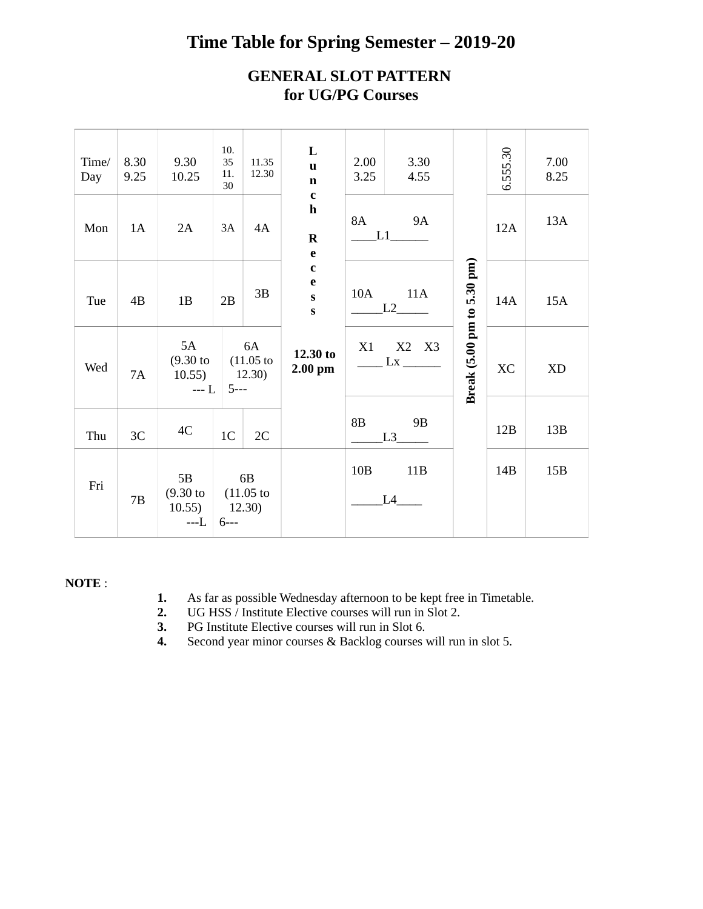## **Time Table for Spring Semester – 2019-20**

## **GENERAL SLOT PATTERN for UG/PG Courses**

| Time/<br>Day | 8.30<br>9.25 | 9.30<br>10.25                                 | 10.<br>35<br>11.<br>30 | 11.35<br>12.30               | L<br>$\mathbf{u}$<br>$\mathbf n$<br>$\mathbf{C}$           | 2.00<br>3.25 | 3.30<br>4.55                  |                            | 6.555.30  | 7.00<br>8.25 |
|--------------|--------------|-----------------------------------------------|------------------------|------------------------------|------------------------------------------------------------|--------------|-------------------------------|----------------------------|-----------|--------------|
| Mon          | 1A           | 2A                                            | $3A$                   | 4A                           | $\mathbf h$<br>$\mathbf R$<br>$\mathbf e$                  | 8A           | <b>9A</b><br>L1               |                            | 12A       | 13A          |
| Tue          | 4B           | 1B                                            | 2B                     | 3B                           | $\mathbf c$<br>$\mathbf e$<br>$\mathbf{s}$<br>$\mathbf{s}$ | 10A          | 11A<br>$L2$ <sub>______</sub> |                            | 14A       | 15A          |
| Wed          | 7A           | 5A<br>$(9.30)$ to<br>10.55)<br>$---L$         | 5---                   | 6A<br>$(11.05)$ to<br>12.30) | 12.30 to<br>$2.00$ pm                                      | X1           | X2 X3<br>$\frac{Lx}{2}$       | Break (5.00 pm to 5.30 pm) | <b>XC</b> | XD           |
| Thu          | 3C           | 4C                                            | 1 <sub>C</sub>         | 2C                           |                                                            | 8B           | $9B$<br>L3                    |                            | 12B       | 13B          |
| Fri          | 7B           | 5B<br>$(9.30 \text{ to }$<br>10.55)<br>$---L$ | 12.30)<br>$6--$        | 6B<br>$(11.05 \text{ to }$   |                                                            | 10B          | 11B<br>L4                     |                            | 14B       | 15B          |

## **NOTE** :

- **1.** As far as possible Wednesday afternoon to be kept free in Timetable.
- **2.** UG HSS / Institute Elective courses will run in Slot 2.
- **3.** PG Institute Elective courses will run in Slot 6.
- **4.** Second year minor courses & Backlog courses will run in slot 5.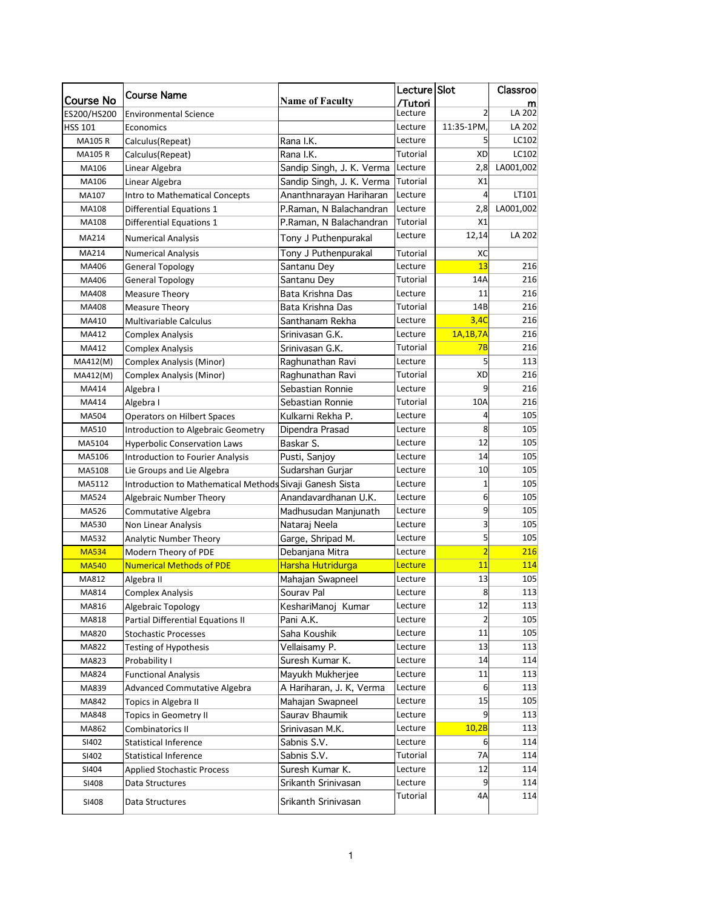|                  | <b>Course Name</b>                   |                           | Lecture Slot |                | Classroo  |
|------------------|--------------------------------------|---------------------------|--------------|----------------|-----------|
| <b>Course No</b> |                                      | <b>Name of Faculty</b>    | /Tutori      |                |           |
| ES200/HS200      | <b>Environmental Science</b>         |                           | Lecture      | $\overline{2}$ | LA 202    |
| <b>HSS 101</b>   | Economics                            |                           | Lecture      | 11:35-1PM,     | LA 202    |
| <b>MA105R</b>    | Calculus(Repeat)                     | Rana I.K.                 | Lecture      | 5              | LC102     |
| <b>MA105R</b>    | Calculus(Repeat)                     | Rana I.K.                 | Tutorial     | XD             | LC102     |
| MA106            | Linear Algebra                       | Sandip Singh, J. K. Verma | Lecture      | 2,8            | LA001,002 |
| MA106            | Linear Algebra                       | Sandip Singh, J. K. Verma | Tutorial     | X1             |           |
| MA107            | Intro to Mathematical Concepts       | Ananthnarayan Hariharan   | Lecture      | 4              | LT101     |
| MA108            | Differential Equations 1             | P.Raman, N Balachandran   | Lecture      | 2,8            | LA001,002 |
| MA108            | Differential Equations 1             | P.Raman, N Balachandran   | Tutorial     | X1             |           |
| MA214            | <b>Numerical Analysis</b>            | Tony J Puthenpurakal      | Lecture      | 12,14          | LA 202    |
| MA214            | <b>Numerical Analysis</b>            | Tony J Puthenpurakal      | Tutorial     | хc             |           |
| MA406            | <b>General Topology</b>              | Santanu Dey               | Lecture      | 13             | 216       |
| MA406            | <b>General Topology</b>              | Santanu Dey               | Tutorial     | 14A            | 216       |
| MA408            | Measure Theory                       | Bata Krishna Das          | Lecture      | 11             | 216       |
| MA408            | Measure Theory                       | Bata Krishna Das          | Tutorial     | 14B            | 216       |
| MA410            | <b>Multivariable Calculus</b>        | Santhanam Rekha           | Lecture      | 3,4C           | 216       |
| MA412            | <b>Complex Analysis</b>              | Srinivasan G.K.           | Lecture      | 1A, 1B, 7A     | 216       |
| MA412            | <b>Complex Analysis</b>              | Srinivasan G.K.           | Tutorial     | 7B             | 216       |
| MA412(M)         | <b>Complex Analysis (Minor)</b>      | Raghunathan Ravi          | Lecture      | 5              | 113       |
| MA412(M)         | Complex Analysis (Minor)             | Raghunathan Ravi          | Tutorial     | XD             | 216       |
| MA414            | Algebra I                            | Sebastian Ronnie          | Lecture      | 9              | 216       |
| MA414            | Algebra I                            | Sebastian Ronnie          | Tutorial     | 10A            | 216       |
| MA504            | <b>Operators on Hilbert Spaces</b>   | Kulkarni Rekha P.         | Lecture      | 4              | 105       |
| MA510            | Introduction to Algebraic Geometry   | Dipendra Prasad           | Lecture      | 8              | 105       |
| MA5104           | <b>Hyperbolic Conservation Laws</b>  | Baskar S.                 | Lecture      | 12             | 105       |
| MA5106           | Introduction to Fourier Analysis     | Pusti, Sanjoy             | Lecture      | 14             | 105       |
| MA5108           | Lie Groups and Lie Algebra           | Sudarshan Gurjar          | Lecture      | 10             | 105       |
| MA5112           | Introduction to Mathematical Methods | Sivaji Ganesh Sista       | Lecture      | 1              | 105       |
| MA524            | Algebraic Number Theory              | Anandavardhanan U.K.      | Lecture      | 6              | 105       |
| MA526            | Commutative Algebra                  | Madhusudan Manjunath      | Lecture      | 9              | 105       |
| MA530            | Non Linear Analysis                  | Nataraj Neela             | Lecture      | 3              | 105       |
| MA532            | Analytic Number Theory               | Garge, Shripad M.         | Lecture      | 5              | 105       |
| <b>MA534</b>     | Modern Theory of PDE                 | Debanjana Mitra           | Lecture      | $\overline{2}$ | 216       |
| <b>MA540</b>     | <b>Numerical Methods of PDE</b>      | Harsha Hutridurga         | Lecture      | 11             | 114       |
| MA812            | Algebra II                           | Mahajan Swapneel          | Lecture      | 13             | 105       |
| MA814            | Complex Analysis                     | Sourav Pal                | Lecture      | 8              | 113       |
| MA816            | Algebraic Topology                   | KeshariManoj Kumar        | Lecture      | 12             | 113       |
| MA818            | Partial Differential Equations II    | Pani A.K.                 | Lecture      | 2              | 105       |
| MA820            | <b>Stochastic Processes</b>          | Saha Koushik              | Lecture      | 11             | 105       |
| MA822            | Testing of Hypothesis                | Vellaisamy P.             | Lecture      | 13             | 113       |
| MA823            | Probability I                        | Suresh Kumar K.           | Lecture      | 14             | 114       |
| MA824            | <b>Functional Analysis</b>           | Mayukh Mukherjee          | Lecture      | 11             | 113       |
| MA839            | Advanced Commutative Algebra         | A Hariharan, J. K, Verma  | Lecture      | 6              | 113       |
| MA842            | Topics in Algebra II                 | Mahajan Swapneel          | Lecture      | 15             | 105       |
| MA848            | Topics in Geometry II                | Saurav Bhaumik            | Lecture      | 9              | 113       |
| MA862            | Combinatorics II                     | Srinivasan M.K.           | Lecture      | 10,2B          | 113       |
| SI402            | <b>Statistical Inference</b>         | Sabnis S.V.               | Lecture      | 6              | 114       |
| SI402            | <b>Statistical Inference</b>         | Sabnis S.V.               | Tutorial     | 7A             | 114       |
| SI404            | <b>Applied Stochastic Process</b>    | Suresh Kumar K.           | Lecture      | 12             | 114       |
| SI408            | Data Structures                      | Srikanth Srinivasan       | Lecture      | 9              | 114       |
| SI408            | Data Structures                      | Srikanth Srinivasan       | Tutorial     | 4A             | 114       |